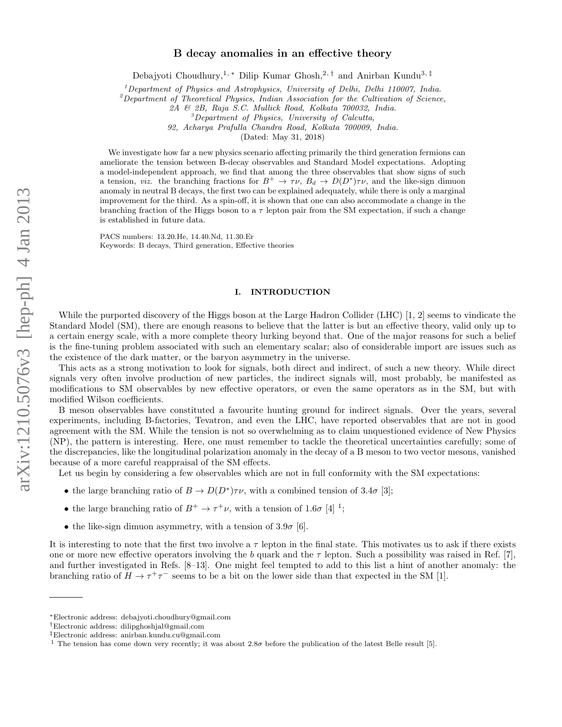# B decay anomalies in an effective theory

Debajyoti Choudhury,<sup>1, \*</sup> Dilip Kumar Ghosh,<sup>2,†</sup> and Anirban Kundu<sup>3,‡</sup>

<sup>1</sup>Department of Physics and Astrophysics, University of Delhi, Delhi 110007, India.

 $^{2}$ Department of Theoretical Physics, Indian Association for the Cultivation of Science,

2A & 2B, Raja S.C. Mullick Road, Kolkata 700032, India.

<sup>3</sup>Department of Physics, University of Calcutta,

92, Acharya Prafulla Chandra Road, Kolkata 700009, India.

(Dated: May 31, 2018)

We investigate how far a new physics scenario affecting primarily the third generation fermions can ameliorate the tension between B-decay observables and Standard Model expectations. Adopting a model-independent approach, we find that among the three observables that show signs of such a tension, *viz.* the branching fractions for  $B^+ \to \tau \nu$ ,  $B_d \to D(D^*)\tau \nu$ , and the like-sign dimuon anomaly in neutral B decays, the first two can be explained adequately, while there is only a marginal improvement for the third. As a spin-off, it is shown that one can also accommodate a change in the branching fraction of the Higgs boson to a  $\tau$  lepton pair from the SM expectation, if such a change is established in future data.

PACS numbers: 13.20.He, 14.40.Nd, 11.30.Er Keywords: B decays, Third generation, Effective theories

## I. INTRODUCTION

While the purported discovery of the Higgs boson at the Large Hadron Collider (LHC) [1, 2] seems to vindicate the Standard Model (SM), there are enough reasons to believe that the latter is but an effective theory, valid only up to a certain energy scale, with a more complete theory lurking beyond that. One of the major reasons for such a belief is the fine-tuning problem associated with such an elementary scalar; also of considerable import are issues such as the existence of the dark matter, or the baryon asymmetry in the universe.

This acts as a strong motivation to look for signals, both direct and indirect, of such a new theory. While direct signals very often involve production of new particles, the indirect signals will, most probably, be manifested as modifications to SM observables by new effective operators, or even the same operators as in the SM, but with modified Wilson coefficients.

B meson observables have constituted a favourite hunting ground for indirect signals. Over the years, several experiments, including B-factories, Tevatron, and even the LHC, have reported observables that are not in good agreement with the SM. While the tension is not so overwhelming as to claim unquestioned evidence of New Physics (NP), the pattern is interesting. Here, one must remember to tackle the theoretical uncertainties carefully; some of the discrepancies, like the longitudinal polarization anomaly in the decay of a B meson to two vector mesons, vanished because of a more careful reappraisal of the SM effects.

Let us begin by considering a few observables which are not in full conformity with the SM expectations:

- the large branching ratio of  $B \to D(D^*)\tau\nu$ , with a combined tension of 3.4 $\sigma$  [3];
- the large branching ratio of  $B^+ \to \tau^+\nu$ , with a tension of 1.6 $\sigma$  [4] <sup>1</sup>;
- the like-sign dimuon asymmetry, with a tension of  $3.9\sigma$  [6].

It is interesting to note that the first two involve a  $\tau$  lepton in the final state. This motivates us to ask if there exists one or more new effective operators involving the b quark and the  $\tau$  lepton. Such a possibility was raised in Ref. [7], and further investigated in Refs. [8–13]. One might feel tempted to add to this list a hint of another anomaly: the branching ratio of  $H \to \tau^+\tau^-$  seems to be a bit on the lower side than that expected in the SM [1].

<sup>∗</sup>Electronic address: debajyoti.choudhury@gmail.com

<sup>†</sup>Electronic address: dilipghoshjal@gmail.com

<sup>‡</sup>Electronic address: anirban.kundu.cu@gmail.com

<sup>&</sup>lt;sup>1</sup> The tension has come down very recently; it was about 2.8 $\sigma$  before the publication of the latest Belle result [5].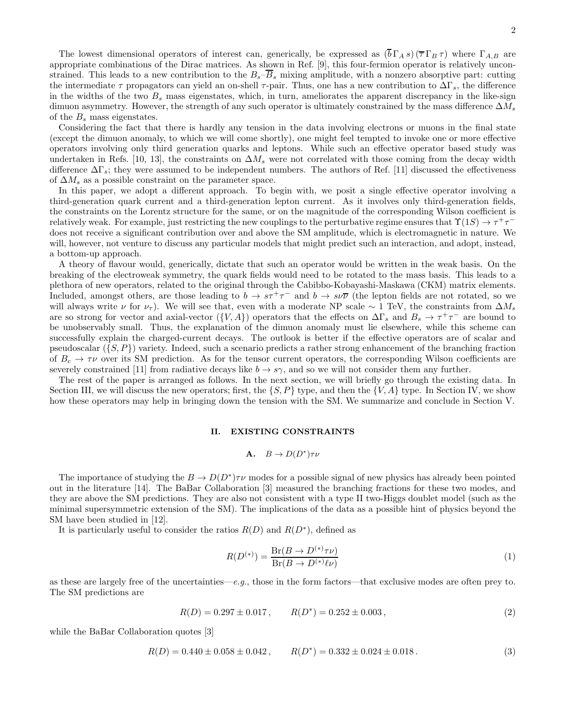2

The lowest dimensional operators of interest can, generically, be expressed as  $(\overline{b}\Gamma_A s)(\overline{\tau}\Gamma_B \tau)$  where  $\Gamma_{A,B}$  are appropriate combinations of the Dirac matrices. As shown in Ref. [9], this four-fermion operator is relatively unconstrained. This leads to a new contribution to the  $B_s-\overline{B}_s$  mixing amplitude, with a nonzero absorptive part: cutting the intermediate  $\tau$  propagators can yield an on-shell  $\tau$ -pair. Thus, one has a new contribution to  $\Delta\Gamma_s$ , the difference in the widths of the two  $B_s$  mass eigenstates, which, in turn, ameliorates the apparent discrepancy in the like-sign dimuon asymmetry. However, the strength of any such operator is ultimately constrained by the mass difference  $\Delta M_s$ of the  $B_s$  mass eigenstates.

Considering the fact that there is hardly any tension in the data involving electrons or muons in the final state (except the dimuon anomaly, to which we will come shortly), one might feel tempted to invoke one or more effective operators involving only third generation quarks and leptons. While such an effective operator based study was undertaken in Refs. [10, 13], the constraints on  $\Delta M_s$  were not correlated with those coming from the decay width difference  $\Delta\Gamma_s$ ; they were assumed to be independent numbers. The authors of Ref. [11] discussed the effectiveness of  $\Delta M_s$  as a possible constraint on the parameter space.

In this paper, we adopt a different approach. To begin with, we posit a single effective operator involving a third-generation quark current and a third-generation lepton current. As it involves only third-generation fields, the constraints on the Lorentz structure for the same, or on the magnitude of the corresponding Wilson coefficient is relatively weak. For example, just restricting the new couplings to the perturbative regime ensures that  $\Upsilon(1S) \to \tau^+\tau^$ does not receive a significant contribution over and above the SM amplitude, which is electromagnetic in nature. We will, however, not venture to discuss any particular models that might predict such an interaction, and adopt, instead, a bottom-up approach.

A theory of flavour would, generically, dictate that such an operator would be written in the weak basis. On the breaking of the electroweak symmetry, the quark fields would need to be rotated to the mass basis. This leads to a plethora of new operators, related to the original through the Cabibbo-Kobayashi-Maskawa (CKM) matrix elements. Included, amongst others, are those leading to  $b \to s\tau^+\tau^-$  and  $b \to s\nu\overline{\nu}$  (the lepton fields are not rotated, so we will always write  $\nu$  for  $\nu_{\tau}$ ). We will see that, even with a moderate NP scale ∼ 1 TeV, the constraints from  $\Delta M_s$ are so strong for vector and axial-vector  $(\{V, A\})$  operators that the effects on  $\Delta\Gamma_s$  and  $B_s \to \tau^+\tau^-$  are bound to be unobservably small. Thus, the explanation of the dimuon anomaly must lie elsewhere, while this scheme can successfully explain the charged-current decays. The outlook is better if the effective operators are of scalar and pseudoscalar  $(\{S, P\})$  variety. Indeed, such a scenario predicts a rather strong enhancement of the branching fraction of  $B_c \to \tau \nu$  over its SM prediction. As for the tensor current operators, the corresponding Wilson coefficients are severely constrained [11] from radiative decays like  $b \to s\gamma$ , and so we will not consider them any further.

The rest of the paper is arranged as follows. In the next section, we will briefly go through the existing data. In Section III, we will discuss the new operators; first, the  $\{S, P\}$  type, and then the  $\{V, A\}$  type. In Section IV, we show how these operators may help in bringing down the tension with the SM. We summarize and conclude in Section V.

#### II. EXISTING CONSTRAINTS

# **A.**  $B \to D(D^*)\tau\nu$

The importance of studying the  $B \to D(D^*)\tau\nu$  modes for a possible signal of new physics has already been pointed out in the literature [14]. The BaBar Collaboration [3] measured the branching fractions for these two modes, and they are above the SM predictions. They are also not consistent with a type II two-Higgs doublet model (such as the minimal supersymmetric extension of the SM). The implications of the data as a possible hint of physics beyond the SM have been studied in [12].

It is particularly useful to consider the ratios  $R(D)$  and  $R(D^*)$ , defined as

$$
R(D^{(*)}) = \frac{\text{Br}(B \to D^{(*)}\tau\nu)}{\text{Br}(B \to D^{(*)}\ell\nu)}\tag{1}
$$

as these are largely free of the uncertainties—e.g., those in the form factors—that exclusive modes are often prey to. The SM predictions are

$$
R(D) = 0.297 \pm 0.017, \qquad R(D^*) = 0.252 \pm 0.003, \qquad (2)
$$

while the BaBar Collaboration quotes [3]

$$
R(D) = 0.440 \pm 0.058 \pm 0.042 , \qquad R(D^*) = 0.332 \pm 0.024 \pm 0.018 . \tag{3}
$$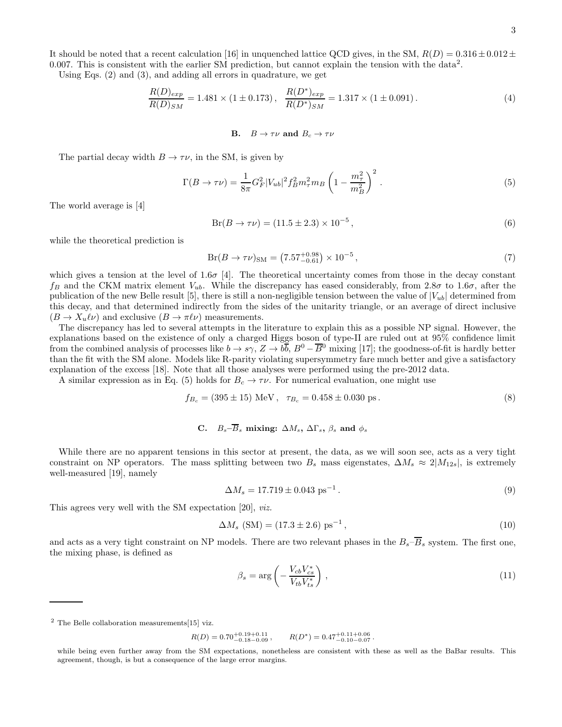It should be noted that a recent calculation [16] in unquenched lattice QCD gives, in the SM,  $R(D) = 0.316 \pm 0.012 \pm 0.012$ 0.007. This is consistent with the earlier SM prediction, but cannot explain the tension with the data<sup>2</sup>.

Using Eqs. (2) and (3), and adding all errors in quadrature, we get

$$
\frac{R(D)_{exp}}{R(D)_{SM}} = 1.481 \times (1 \pm 0.173), \quad \frac{R(D^*)_{exp}}{R(D^*)_{SM}} = 1.317 \times (1 \pm 0.091). \tag{4}
$$

**B.** 
$$
B \rightarrow \tau \nu
$$
 and  $B_c \rightarrow \tau \nu$ 

The partial decay width  $B \to \tau \nu$ , in the SM, is given by

$$
\Gamma(B \to \tau \nu) = \frac{1}{8\pi} G_F^2 |V_{ub}|^2 f_B^2 m_\tau^2 m_B \left(1 - \frac{m_\tau^2}{m_B^2}\right)^2.
$$
\n(5)

The world average is [4]

$$
Br(B \to \tau \nu) = (11.5 \pm 2.3) \times 10^{-5},\tag{6}
$$

while the theoretical prediction is

$$
Br(B \to \tau \nu)_{\rm SM} = (7.57^{+0.98}_{-0.61}) \times 10^{-5},\tag{7}
$$

which gives a tension at the level of  $1.6\sigma$  [4]. The theoretical uncertainty comes from those in the decay constant  $f_B$  and the CKM matrix element  $V_{ub}$ . While the discrepancy has eased considerably, from 2.8 $\sigma$  to 1.6 $\sigma$ , after the publication of the new Belle result [5], there is still a non-negligible tension between the value of  $|V_{ub}|$  determined from this decay, and that determined indirectly from the sides of the unitarity triangle, or an average of direct inclusive  $(B \to X_u \ell \nu)$  and exclusive  $(B \to \pi \ell \nu)$  measurements.

The discrepancy has led to several attempts in the literature to explain this as a possible NP signal. However, the explanations based on the existence of only a charged Higgs boson of type-II are ruled out at 95% confidence limit from the combined analysis of processes like  $b \to s\gamma$ ,  $Z \to b\overline{b}$ ,  $B^0 - \overline{B}{}^0$  mixing [17]; the goodness-of-fit is hardly better than the fit with the SM alone. Models like R-parity violating supersymmetry fare much better and give a satisfactory explanation of the excess [18]. Note that all those analyses were performed using the pre-2012 data.

A similar expression as in Eq. (5) holds for  $B_c \to \tau \nu$ . For numerical evaluation, one might use

$$
f_{B_c} = (395 \pm 15) \text{ MeV}, \quad \tau_{B_c} = 0.458 \pm 0.030 \text{ ps}. \tag{8}
$$

# C.  $B_s - \overline{B}_s$  mixing:  $\Delta M_s$ ,  $\Delta \Gamma_s$ ,  $\beta_s$  and  $\phi_s$

While there are no apparent tensions in this sector at present, the data, as we will soon see, acts as a very tight constraint on NP operators. The mass splitting between two  $B_s$  mass eigenstates,  $\Delta M_s \approx 2|M_{12s}|$ , is extremely well-measured [19], namely

$$
\Delta M_s = 17.719 \pm 0.043 \text{ ps}^{-1} \,. \tag{9}
$$

This agrees very well with the SM expectation [20], viz.

$$
\Delta M_s \text{ (SM)} = (17.3 \pm 2.6) \text{ ps}^{-1},\tag{10}
$$

and acts as a very tight constraint on NP models. There are two relevant phases in the  $B_s-\overline{B}_s$  system. The first one, the mixing phase, is defined as

$$
\beta_s = \arg\left(-\frac{V_{cb}V_{cs}^*}{V_{tb}V_{ts}^*}\right),\tag{11}
$$

 $2$  The Belle collaboration measurements [15] viz.

$$
R(D) = 0.70^{+0.19+0.11}_{-0.18-0.09}, \qquad R(D^*) = 0.47^{+0.11+0.06}_{-0.10-0.07}.
$$

while being even further away from the SM expectations, nonetheless are consistent with these as well as the BaBar results. This agreement, though, is but a consequence of the large error margins.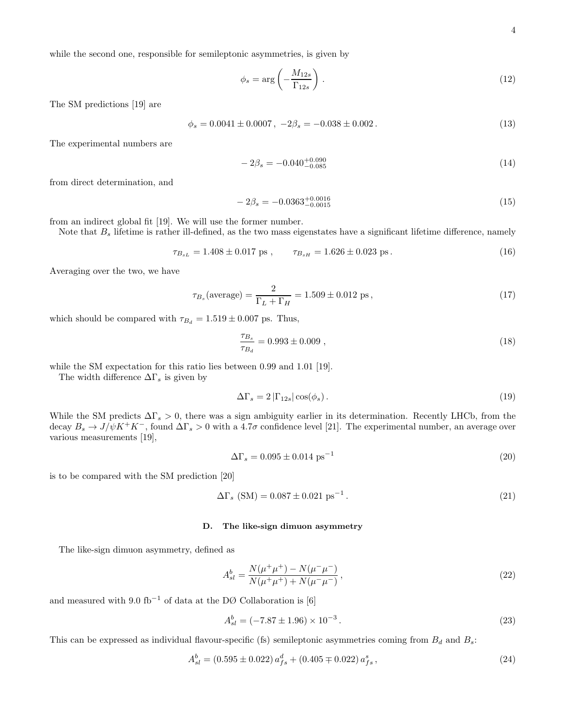while the second one, responsible for semileptonic asymmetries, is given by

$$
\phi_s = \arg\left(-\frac{M_{12s}}{\Gamma_{12s}}\right). \tag{12}
$$

The SM predictions [19] are

$$
\phi_s = 0.0041 \pm 0.0007 \,, \ -2\beta_s = -0.038 \pm 0.002 \,. \tag{13}
$$

The experimental numbers are

$$
-2\beta_s = -0.040^{+0.090}_{-0.085} \tag{14}
$$

from direct determination, and

$$
-2\beta_s = -0.0363^{+0.0016}_{-0.0015} \tag{15}
$$

from an indirect global fit [19]. We will use the former number.

Note that  $B_s$  lifetime is rather ill-defined, as the two mass eigenstates have a significant lifetime difference, namely

$$
\tau_{B_{sL}} = 1.408 \pm 0.017 \text{ ps}, \qquad \tau_{B_{sH}} = 1.626 \pm 0.023 \text{ ps}. \tag{16}
$$

Averaging over the two, we have

$$
\tau_{B_s}(\text{average}) = \frac{2}{\Gamma_L + \Gamma_H} = 1.509 \pm 0.012 \text{ ps},\tag{17}
$$

which should be compared with  $\tau_{B_d} = 1.519 \pm 0.007$  ps. Thus,

$$
\frac{\tau_{B_s}}{\tau_{B_d}} = 0.993 \pm 0.009 , \qquad (18)
$$

while the SM expectation for this ratio lies between 0.99 and 1.01 [19].

The width difference  $\Delta\Gamma_s$  is given by

$$
\Delta\Gamma_s = 2\left|\Gamma_{12s}\right|\cos(\phi_s). \tag{19}
$$

While the SM predicts  $\Delta\Gamma_s > 0$ , there was a sign ambiguity earlier in its determination. Recently LHCb, from the decay  $B_s \to J/\psi K^+K^-$ , found  $\Delta\Gamma_s > 0$  with a 4.7 $\sigma$  confidence level [21]. The experimental number, an average over various measurements [19],

$$
\Delta\Gamma_s = 0.095 \pm 0.014 \text{ ps}^{-1} \tag{20}
$$

is to be compared with the SM prediction [20]

$$
\Delta\Gamma_s \text{ (SM)} = 0.087 \pm 0.021 \text{ ps}^{-1} \,. \tag{21}
$$

### D. The like-sign dimuon asymmetry

The like-sign dimuon asymmetry, defined as

$$
A_{sl}^{b} = \frac{N(\mu^{+}\mu^{+}) - N(\mu^{-}\mu^{-})}{N(\mu^{+}\mu^{+}) + N(\mu^{-}\mu^{-})},
$$
\n(22)

and measured with 9.0 fb<sup>-1</sup> of data at the DØ Collaboration is [6]

$$
A_{sl}^{b} = (-7.87 \pm 1.96) \times 10^{-3}.
$$
\n(23)

This can be expressed as individual flavour-specific (fs) semileptonic asymmetries coming from  $B_d$  and  $B_s$ :

$$
A_{sl}^{b} = (0.595 \pm 0.022) a_{fs}^{d} + (0.405 \mp 0.022) a_{fs}^{s}, \qquad (24)
$$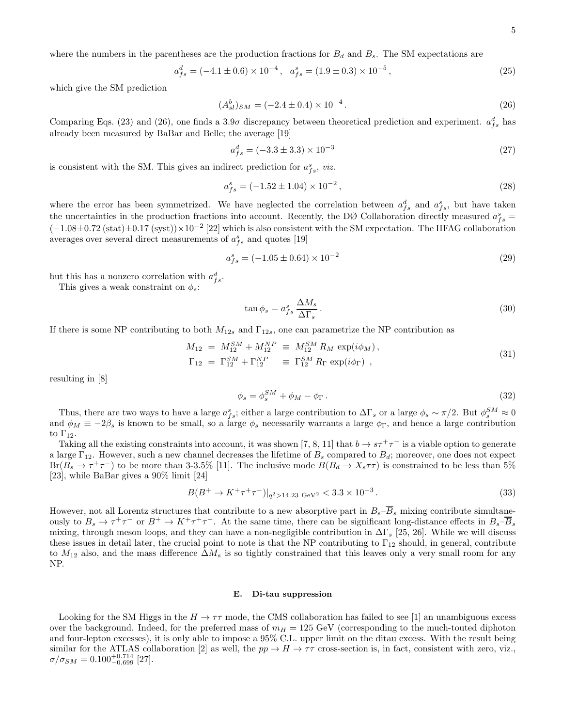where the numbers in the parentheses are the production fractions for  $B_d$  and  $B_s$ . The SM expectations are

$$
a_{fs}^d = (-4.1 \pm 0.6) \times 10^{-4}, \quad a_{fs}^s = (1.9 \pm 0.3) \times 10^{-5}, \tag{25}
$$

which give the SM prediction

$$
(A_{sl}^b)_{SM} = (-2.4 \pm 0.4) \times 10^{-4}.
$$
\n(26)

Comparing Eqs. (23) and (26), one finds a 3.9 $\sigma$  discrepancy between theoretical prediction and experiment.  $a_{fs}^d$  has already been measured by BaBar and Belle; the average [19]

$$
a_{fs}^d = (-3.3 \pm 3.3) \times 10^{-3} \tag{27}
$$

is consistent with the SM. This gives an indirect prediction for  $a_{fs}^s$ , viz.

$$
a_{fs}^s = (-1.52 \pm 1.04) \times 10^{-2},\tag{28}
$$

where the error has been symmetrized. We have neglected the correlation between  $a_{fs}^d$  and  $a_{fs}^s$ , but have taken the uncertainties in the production fractions into account. Recently, the DØ Collaboration directly measured  $a_{fs}^s =$  $(-1.08 \pm 0.72 \text{ (stat)} \pm 0.17 \text{ (syst)}) \times 10^{-2}$  [22] which is also consistent with the SM expectation. The HFAG collaboration averages over several direct measurements of  $a_{fs}^s$  and quotes [19]

$$
a_{fs}^s = (-1.05 \pm 0.64) \times 10^{-2} \tag{29}
$$

but this has a nonzero correlation with  $a_{fs}^d$ .

This gives a weak constraint on  $\phi_s$ :

$$
\tan \phi_s = a_{fs}^s \frac{\Delta M_s}{\Delta \Gamma_s}.
$$
\n(30)

If there is some NP contributing to both  $M_{12s}$  and  $\Gamma_{12s}$ , one can parametrize the NP contribution as

$$
M_{12} = M_{12}^{SM} + M_{12}^{NP} \equiv M_{12}^{SM} R_M \exp(i\phi_M),
$$
  
\n
$$
\Gamma_{12} = \Gamma_{12}^{SM} + \Gamma_{12}^{NP} \equiv \Gamma_{12}^{SM} R_\Gamma \exp(i\phi_\Gamma),
$$
\n(31)

resulting in [8]

$$
\phi_s = \phi_s^{SM} + \phi_M - \phi_\Gamma \,. \tag{32}
$$

Thus, there are two ways to have a large  $a_{fs}^s$ ; either a large contribution to  $\Delta\Gamma_s$  or a large  $\phi_s \sim \pi/2$ . But  $\phi_s^{SM} \approx 0$ and  $\phi_M \equiv -2\beta_s$  is known to be small, so a large  $\phi_s$  necessarily warrants a large  $\phi_{\Gamma}$ , and hence a large contribution to  $\Gamma_{12}$ .

Taking all the existing constraints into account, it was shown [7, 8, 11] that  $b \to s\tau^+\tau^-$  is a viable option to generate a large  $\Gamma_{12}$ . However, such a new channel decreases the lifetime of  $B_s$  compared to  $B_d$ ; moreover, one does not expect  $Br(B_s \to \tau^+\tau^-)$  to be more than 3-3.5% [11]. The inclusive mode  $B(B_d \to X_s\tau\tau)$  is constrained to be less than 5% [23], while BaBar gives a 90% limit [24]

$$
B(B^+ \to K^+ \tau^+ \tau^-)|_{q^2 > 14.23 \text{ GeV}^2} < 3.3 \times 10^{-3} \,. \tag{33}
$$

However, not all Lorentz structures that contribute to a new absorptive part in  $B_s-\overline{B}_s$  mixing contribute simultaneously to  $B_s \to \tau^+\tau^-$  or  $B^+ \to K^+\tau^+\tau^-$ . At the same time, there can be significant long-distance effects in  $B_s-\overline{B}_s$ mixing, through meson loops, and they can have a non-negligible contribution in  $\Delta\Gamma_s$  [25, 26]. While we will discuss these issues in detail later, the crucial point to note is that the NP contributing to  $\Gamma_{12}$  should, in general, contribute to  $M_{12}$  also, and the mass difference  $\Delta M_s$  is so tightly constrained that this leaves only a very small room for any NP.

#### E. Di-tau suppression

Looking for the SM Higgs in the  $H \to \tau\tau$  mode, the CMS collaboration has failed to see [1] an unambiguous excess over the background. Indeed, for the preferred mass of  $m_H = 125$  GeV (corresponding to the much-touted diphoton and four-lepton excesses), it is only able to impose a 95% C.L. upper limit on the ditau excess. With the result being similar for the ATLAS collaboration [2] as well, the  $pp \to H \to \tau\tau$  cross-section is, in fact, consistent with zero, viz.,  $\sigma/\sigma_{SM} = 0.100_{-0.699}^{+0.714}$  [27].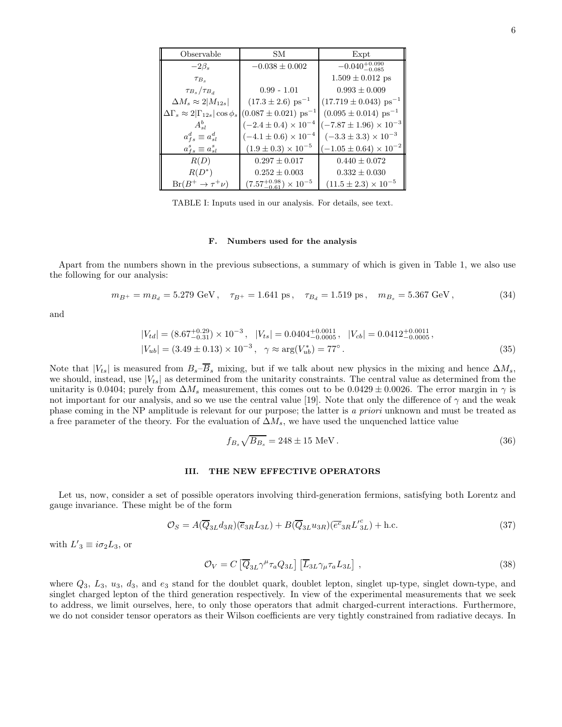| Observable                                         | SМ                                      | Expt                                 |
|----------------------------------------------------|-----------------------------------------|--------------------------------------|
| $-2\beta_s$                                        | $-0.038 \pm 0.002$                      | $-0.040^{+0.090}_{-0.085}$           |
| TB <sub>s</sub>                                    |                                         | $1.509 \pm 0.012$ ps                 |
| $\tau_{B_s}/\tau_{B_d}$                            | $0.99 - 1.01$                           | $0.993 \pm 0.009$                    |
| $\Delta M_s \approx 2 M_{12s} $                    | $(17.3 \pm 2.6)$ ps <sup>-1</sup>       | $(17.719 \pm 0.043) \text{ ps}^{-1}$ |
| $\Delta\Gamma_s \approx 2 \Gamma_{12s} \cos\phi_s$ | $(0.087 \pm 0.021)$ ps <sup>-1</sup>    | $(0.095 \pm 0.014) \text{ ps}^{-1}$  |
| $A_{sl}^b$                                         | $(-2.4 \pm 0.4) \times 10^{-4}$         | $(-7.87 \pm 1.96) \times 10^{-3}$    |
| $a_{fs}^d \equiv a_{sl}^d$                         | $(-4.1 \pm 0.6) \times 10^{-4}$         | $(-3.3 \pm 3.3) \times 10^{-3}$      |
| $a_{fs}^s \equiv a_{sl}^s$                         | $(1.9 \pm 0.3) \times 10^{-5}$          | $(-1.05 \pm 0.64) \times 10^{-2}$    |
| R(D)                                               | $0.297 \pm 0.017$                       | $0.440 \pm 0.072$                    |
| $R(D^*)$                                           | $0.252 \pm 0.003$                       | $0.332 \pm 0.030$                    |
| $Br(B^+\to\tau^+\nu)$                              | $(7.57^{+0.98}_{-0.61}) \times 10^{-5}$ | $(11.5 \pm 2.3) \times 10^{-5}$      |

TABLE I: Inputs used in our analysis. For details, see text.

#### F. Numbers used for the analysis

Apart from the numbers shown in the previous subsections, a summary of which is given in Table 1, we also use the following for our analysis:

$$
m_{B^{+}} = m_{B_d} = 5.279 \text{ GeV}, \quad \tau_{B^{+}} = 1.641 \text{ ps}, \quad \tau_{B_d} = 1.519 \text{ ps}, \quad m_{B_s} = 5.367 \text{ GeV}, \tag{34}
$$

and

$$
|V_{td}| = (8.67^{+0.29}_{-0.31}) \times 10^{-3}, \quad |V_{ts}| = 0.0404^{+0.0011}_{-0.0005}, \quad |V_{cb}| = 0.0412^{+0.0011}_{-0.0005}, |V_{ub}| = (3.49 \pm 0.13) \times 10^{-3}, \quad \gamma \approx \arg(V_{ub}^*) = 77^{\circ}.
$$
 (35)

Note that  $|V_{ts}|$  is measured from  $B_s-\overline{B}_s$  mixing, but if we talk about new physics in the mixing and hence  $\Delta M_s$ , we should, instead, use  $|V_{ts}|$  as determined from the unitarity constraints. The central value as determined from the unitarity is 0.0404; purely from  $\Delta M_s$  measurement, this comes out to be 0.0429 ± 0.0026. The error margin in  $\gamma$  is not important for our analysis, and so we use the central value [19]. Note that only the difference of  $\gamma$  and the weak phase coming in the NP amplitude is relevant for our purpose; the latter is a priori unknown and must be treated as a free parameter of the theory. For the evaluation of  $\Delta M_s$ , we have used the unquenched lattice value

$$
f_{B_s}\sqrt{B_{B_s}} = 248 \pm 15 \text{ MeV} \,. \tag{36}
$$

#### III. THE NEW EFFECTIVE OPERATORS

Let us, now, consider a set of possible operators involving third-generation fermions, satisfying both Lorentz and gauge invariance. These might be of the form

$$
\mathcal{O}_S = A(\overline{Q}_{3L}d_{3R})(\overline{e}_{3R}L_{3L}) + B(\overline{Q}_{3L}u_{3R})(\overline{e^c}_{3R}L_{3L}^{\prime c}) + \text{h.c.}
$$
\n(37)

with  $L'_3 \equiv i\sigma_2 L_3$ , or

$$
\mathcal{O}_V = C \left[ \overline{Q}_{3L} \gamma^\mu \tau_a Q_{3L} \right] \left[ \overline{L}_{3L} \gamma_\mu \tau_a L_{3L} \right], \qquad (38)
$$

where  $Q_3$ ,  $L_3$ ,  $u_3$ ,  $d_3$ , and  $e_3$  stand for the doublet quark, doublet lepton, singlet up-type, singlet down-type, and singlet charged lepton of the third generation respectively. In view of the experimental measurements that we seek to address, we limit ourselves, here, to only those operators that admit charged-current interactions. Furthermore, we do not consider tensor operators as their Wilson coefficients are very tightly constrained from radiative decays. In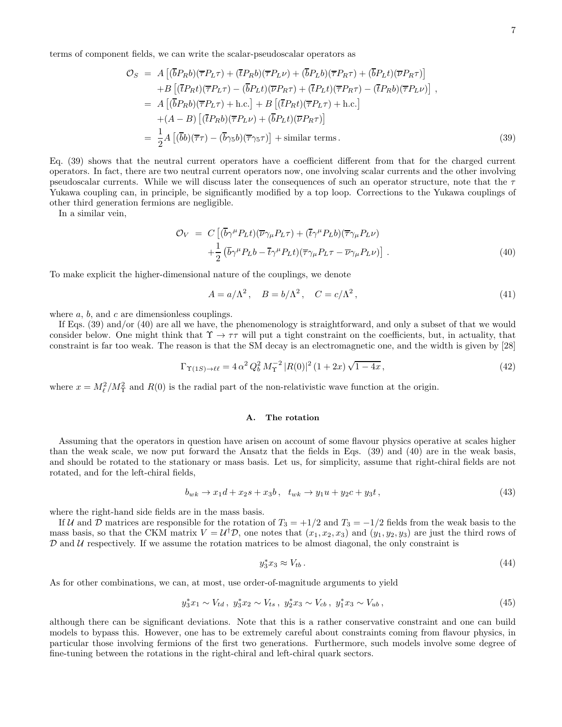terms of component fields, we can write the scalar-pseudoscalar operators as

$$
\mathcal{O}_{S} = A \left[ (\overline{b}P_{R}b)(\overline{\tau}P_{L}\tau) + (\overline{t}P_{R}b)(\overline{\tau}P_{L}\nu) + (\overline{b}P_{L}b)(\overline{\tau}P_{R}\tau) + (\overline{b}P_{L}t)(\overline{\nu}P_{R}\tau) \right] \n+ B \left[ (\overline{t}P_{R}t)(\overline{\tau}P_{L}\tau) - (\overline{b}P_{L}t)(\overline{\nu}P_{R}\tau) + (\overline{t}P_{L}t)(\overline{\tau}P_{R}\tau) - (\overline{t}P_{R}b)(\overline{\tau}P_{L}\nu) \right], \n= A \left[ (\overline{b}P_{R}b)(\overline{\tau}P_{L}\tau) + \text{h.c.} \right] + B \left[ (\overline{t}P_{R}t)(\overline{\tau}P_{L}\tau) + \text{h.c.} \right] \n+ (A - B) \left[ (\overline{t}P_{R}b)(\overline{\tau}P_{L}\nu) + (\overline{b}P_{L}t)(\overline{\nu}P_{R}\tau) \right] \n= \frac{1}{2} A \left[ (\overline{b}b)(\overline{\tau}\tau) - (\overline{b}\gamma_{5}b)(\overline{\tau}\gamma_{5}\tau) \right] + \text{similar terms.}
$$
\n(39)

Eq. (39) shows that the neutral current operators have a coefficient different from that for the charged current operators. In fact, there are two neutral current operators now, one involving scalar currents and the other involving pseudoscalar currents. While we will discuss later the consequences of such an operator structure, note that the  $\tau$ Yukawa coupling can, in principle, be significantly modified by a top loop. Corrections to the Yukawa couplings of other third generation fermions are negligible.

In a similar vein,

$$
\mathcal{O}_V = C \left[ (\overline{b} \gamma^\mu P_L t)(\overline{\nu} \gamma_\mu P_L \tau) + (\overline{t} \gamma^\mu P_L b)(\overline{\tau} \gamma_\mu P_L \nu) + \frac{1}{2} (\overline{b} \gamma^\mu P_L b - \overline{t} \gamma^\mu P_L t)(\overline{\tau} \gamma_\mu P_L \tau - \overline{\nu} \gamma_\mu P_L \nu) \right].
$$
\n(40)

To make explicit the higher-dimensional nature of the couplings, we denote

$$
A = a/\Lambda^2, \quad B = b/\Lambda^2, \quad C = c/\Lambda^2,
$$
\n(41)

where  $a, b$ , and  $c$  are dimensionless couplings.

If Eqs. (39) and/or (40) are all we have, the phenomenology is straightforward, and only a subset of that we would consider below. One might think that  $\Upsilon \to \tau\tau$  will put a tight constraint on the coefficients, but, in actuality, that constraint is far too weak. The reason is that the SM decay is an electromagnetic one, and the width is given by [28]

$$
\Gamma_{\Upsilon(1S)\to\ell\ell} = 4 \alpha^2 Q_b^2 M_\Upsilon^{-2} |R(0)|^2 (1+2x) \sqrt{1-4x},\tag{42}
$$

where  $x = M_{\ell}^2/M_{\Upsilon}^2$  and  $R(0)$  is the radial part of the non-relativistic wave function at the origin.

## A. The rotation

Assuming that the operators in question have arisen on account of some flavour physics operative at scales higher than the weak scale, we now put forward the Ansatz that the fields in Eqs. (39) and (40) are in the weak basis, and should be rotated to the stationary or mass basis. Let us, for simplicity, assume that right-chiral fields are not rotated, and for the left-chiral fields,

$$
b_{wk} \to x_1 d + x_2 s + x_3 b, \quad t_{wk} \to y_1 u + y_2 c + y_3 t,
$$
\n<sup>(43)</sup>

where the right-hand side fields are in the mass basis.

If U and D matrices are responsible for the rotation of  $T_3 = +1/2$  and  $T_3 = -1/2$  fields from the weak basis to the mass basis, so that the CKM matrix  $V = U^{\dagger} \mathcal{D}$ , one notes that  $(x_1, x_2, x_3)$  and  $(y_1, y_2, y_3)$  are just the third rows of  $D$  and  $U$  respectively. If we assume the rotation matrices to be almost diagonal, the only constraint is

$$
y_3^* x_3 \approx V_{tb} \,. \tag{44}
$$

As for other combinations, we can, at most, use order-of-magnitude arguments to yield

$$
y_3^* x_1 \sim V_{td} \, , \, y_3^* x_2 \sim V_{ts} \, , \, y_2^* x_3 \sim V_{cb} \, , \, y_1^* x_3 \sim V_{ub} \, , \tag{45}
$$

although there can be significant deviations. Note that this is a rather conservative constraint and one can build models to bypass this. However, one has to be extremely careful about constraints coming from flavour physics, in particular those involving fermions of the first two generations. Furthermore, such models involve some degree of fine-tuning between the rotations in the right-chiral and left-chiral quark sectors.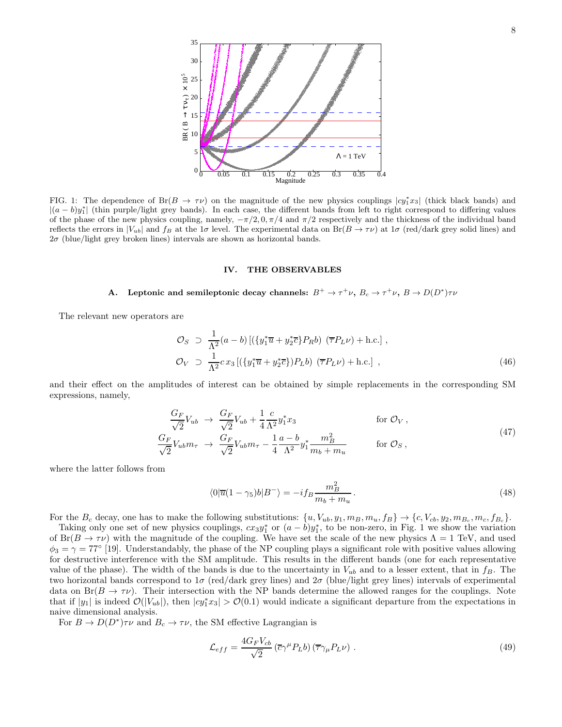

FIG. 1: The dependence of Br $(B \to \tau \nu)$  on the magnitude of the new physics couplings  $|cy_1^*x_3|$  (thick black bands) and  $|(a - b)y_1^*|$  (thin purple/light grey bands). In each case, the different bands from left to right correspond to differing values of the phase of the new physics coupling, namely,  $-\pi/2$ ,  $0$ ,  $\pi/4$  and  $\pi/2$  respectively and the thickness of the individual band reflects the errors in  $|V_{ub}|$  and  $f_B$  at the 1 $\sigma$  level. The experimental data on  $Br(B \to \tau \nu)$  at 1 $\sigma$  (red/dark grey solid lines) and  $2\sigma$  (blue/light grey broken lines) intervals are shown as horizontal bands.

#### IV. THE OBSERVABLES

# A. Leptonic and semileptonic decay channels:  $B^+ \to \tau^+ \nu$ ,  $B_c \to \tau^+ \nu$ ,  $B \to D(D^*) \tau \nu$

The relevant new operators are

$$
\mathcal{O}_S \supset \frac{1}{\Lambda^2} (a - b) \left[ (\{y_1^* \overline{u} + y_2^* \overline{c} \} P_R b) \ (\overline{\tau} P_L \nu) + \text{h.c.} \right],
$$
  
\n
$$
\mathcal{O}_V \supset \frac{1}{\Lambda^2} c x_3 \left[ (\{y_1^* \overline{u} + y_2^* \overline{c} \} ) P_L b \right] (\overline{\tau} P_L \nu) + \text{h.c.} \right],
$$
\n(46)

and their effect on the amplitudes of interest can be obtained by simple replacements in the corresponding SM expressions, namely,

$$
\frac{G_F}{\sqrt{2}}V_{ub} \rightarrow \frac{G_F}{\sqrt{2}}V_{ub} + \frac{1}{4}\frac{c}{\Lambda^2}y_1^*x_3 \qquad \text{for } \mathcal{O}_V, \n\frac{G_F}{\sqrt{2}}V_{ub}m_\tau \rightarrow \frac{G_F}{\sqrt{2}}V_{ub}m_\tau - \frac{1}{4}\frac{a-b}{\Lambda^2}y_1^* \frac{m_B^2}{m_b + m_u} \qquad \text{for } \mathcal{O}_S,
$$
\n(47)

where the latter follows from

$$
\langle 0|\overline{u}(1-\gamma_5)b|B^-\rangle = -if_B\frac{m_B^2}{m_b+m_u}.
$$
\n(48)

For the  $B_c$  decay, one has to make the following substitutions:  $\{u, V_{ub}, y_1, m_B, m_u, f_B\} \rightarrow \{c, V_{cb}, y_2, m_{B_c}, m_c, f_{B_c}\}.$ 

Taking only one set of new physics couplings,  $cxy_1^*$  or  $(a - b)y_1^*$ , to be non-zero, in Fig. 1 we show the variation of  $Br(B \to \tau \nu)$  with the magnitude of the coupling. We have set the scale of the new physics  $\Lambda = 1$  TeV, and used  $\phi_3 = \gamma = 77^\circ$  [19]. Understandably, the phase of the NP coupling plays a significant role with positive values allowing for destructive interference with the SM amplitude. This results in the different bands (one for each representative value of the phase). The width of the bands is due to the uncertainty in  $V_{ub}$  and to a lesser extent, that in  $f_B$ . The two horizontal bands correspond to  $1\sigma$  (red/dark grey lines) and  $2\sigma$  (blue/light grey lines) intervals of experimental data on  $Br(B \to \tau \nu)$ . Their intersection with the NP bands determine the allowed ranges for the couplings. Note that if  $|y_1|$  is indeed  $\mathcal{O}(|V_{ub}|)$ , then  $|cy_1^*x_3| > \mathcal{O}(0.1)$  would indicate a significant departure from the expectations in naive dimensional analysis.

For  $B \to D(D^*)\tau\nu$  and  $B_c \to \tau\nu$ , the SM effective Lagrangian is

$$
\mathcal{L}_{eff} = \frac{4G_F V_{cb}}{\sqrt{2}} \left( \overline{c} \gamma^{\mu} P_L b \right) \left( \overline{\tau} \gamma_{\mu} P_L \nu \right) . \tag{49}
$$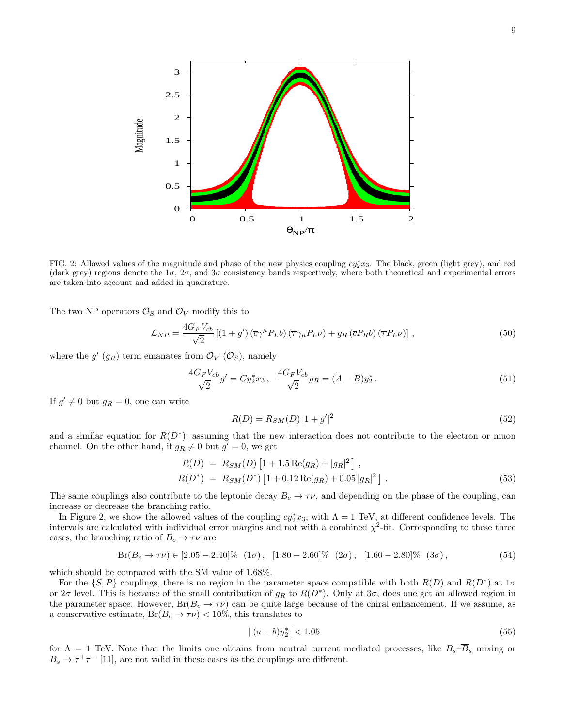

FIG. 2: Allowed values of the magnitude and phase of the new physics coupling  $cy_2^*x_3$ . The black, green (light grey), and red (dark grey) regions denote the  $1\sigma$ ,  $2\sigma$ , and  $3\sigma$  consistency bands respectively, where both theoretical and experimental errors are taken into account and added in quadrature.

The two NP operators  $\mathcal{O}_S$  and  $\mathcal{O}_V$  modify this to

$$
\mathcal{L}_{NP} = \frac{4G_F V_{cb}}{\sqrt{2}} \left[ (1+g') \left( \overline{c} \gamma^{\mu} P_L b \right) \left( \overline{\tau} \gamma_{\mu} P_L \nu \right) + g_R \left( \overline{c} P_R b \right) \left( \overline{\tau} P_L \nu \right) \right],\tag{50}
$$

where the  $g'(g_R)$  term emanates from  $\mathcal{O}_V$   $(\mathcal{O}_S)$ , namely

$$
\frac{4G_F V_{cb}}{\sqrt{2}} g' = C y_2^* x_3, \quad \frac{4G_F V_{cb}}{\sqrt{2}} g_R = (A - B) y_2^* \,. \tag{51}
$$

If  $g' \neq 0$  but  $g_R = 0$ , one can write

$$
R(D) = R_{SM}(D) |1 + g'|^2
$$
\n(52)

and a similar equation for  $R(D^*)$ , assuming that the new interaction does not contribute to the electron or muon channel. On the other hand, if  $g_R \neq 0$  but  $g' = 0$ , we get

$$
R(D) = R_{SM}(D) \left[ 1 + 1.5 \operatorname{Re}(g_R) + |g_R|^2 \right],
$$
  
\n
$$
R(D^*) = R_{SM}(D^*) \left[ 1 + 0.12 \operatorname{Re}(g_R) + 0.05 |g_R|^2 \right].
$$
\n(53)

The same couplings also contribute to the leptonic decay  $B_c \to \tau \nu$ , and depending on the phase of the coupling, can increase or decrease the branching ratio.

In Figure 2, we show the allowed values of the coupling  $cy_2^*x_3$ , with  $\Lambda = 1$  TeV, at different confidence levels. The intervals are calculated with individual error margins and not with a combined  $\chi^2$ -fit. Corresponding to these three cases, the branching ratio of  $B_c \to \tau \nu$  are

$$
Br(B_c \to \tau \nu) \in [2.05 - 2.40]\% \ (1\sigma), \ [1.80 - 2.60]\% \ (2\sigma), \ [1.60 - 2.80]\% \ (3\sigma), \tag{54}
$$

which should be compared with the SM value of 1.68%.

For the  $\{S, P\}$  couplings, there is no region in the parameter space compatible with both  $R(D)$  and  $R(D<sup>*</sup>)$  at  $1\sigma$ or  $2\sigma$  level. This is because of the small contribution of  $g_R$  to  $R(D^*)$ . Only at  $3\sigma$ , does one get an allowed region in the parameter space. However,  $Br(B_c \to \tau \nu)$  can be quite large because of the chiral enhancement. If we assume, as a conservative estimate,  $Br(B_c \to \tau \nu) < 10\%$ , this translates to

$$
|(a-b)y_2^*| < 1.05 \tag{55}
$$

for  $\Lambda = 1$  TeV. Note that the limits one obtains from neutral current mediated processes, like  $B_s - \overline{B}_s$  mixing or  $B_s \to \tau^+\tau^-$  [11], are not valid in these cases as the couplings are different.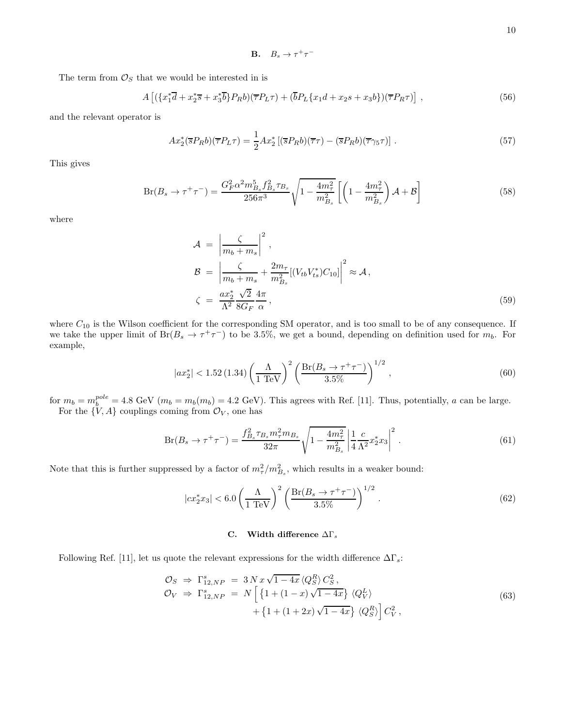**B.**  $B_s \to \tau^+\tau^-$ 

The term from  $\mathcal{O}_S$  that we would be interested in is

$$
A\left[ (\{x_1^*\overline{d} + x_2^*\overline{s} + x_3^*\overline{b}\} P_R b)(\overline{\tau} P_L \tau) + (\overline{b} P_L \{x_1 d + x_2 s + x_3 b\}) (\overline{\tau} P_R \tau) \right],\tag{56}
$$

and the relevant operator is

$$
Ax_2^*(\overline{s}P_Rb)(\overline{\tau}P_L\tau) = \frac{1}{2}Ax_2^*[(\overline{s}P_Rb)(\overline{\tau}\tau) - (\overline{s}P_Rb)(\overline{\tau}\gamma_5\tau)].
$$
\n(57)

This gives

$$
Br(B_s \to \tau^+ \tau^-) = \frac{G_F^2 \alpha^2 m_{B_s}^5 f_{B_s}^2 \tau_{B_s}}{256\pi^3} \sqrt{1 - \frac{4m_\tau^2}{m_{B_s}^2}} \left[ \left( 1 - \frac{4m_\tau^2}{m_{B_s}^2} \right) \mathcal{A} + \mathcal{B} \right]
$$
(58)

where

$$
\mathcal{A} = \left| \frac{\zeta}{m_b + m_s} \right|^2,
$$
\n
$$
\mathcal{B} = \left| \frac{\zeta}{m_b + m_s} + \frac{2m_\tau}{m_{B_s}^2} [(V_{tb} V_{ts}^*) C_{10}] \right|^2 \approx \mathcal{A},
$$
\n
$$
\zeta = \frac{ax_2^* \sqrt{2}}{\Lambda^2} \frac{4\pi}{8G_F} ,
$$
\n(59)

where  $C_{10}$  is the Wilson coefficient for the corresponding SM operator, and is too small to be of any consequence. If we take the upper limit of  $Br(B_s \to \tau^+\tau^-)$  to be 3.5%, we get a bound, depending on definition used for  $m_b$ . For example,

$$
|ax_2^*| < 1.52 \, (1.34) \left(\frac{\Lambda}{1 \, \text{TeV}}\right)^2 \left(\frac{\text{Br}(B_s \to \tau^+ \tau^-)}{3.5\%}\right)^{1/2},\tag{60}
$$

for  $m_b = m_b^{pole} = 4.8$  GeV  $(m_b = m_b(m_b) = 4.2$  GeV). This agrees with Ref. [11]. Thus, potentially, a can be large. For the  $\{V, A\}$  couplings coming from  $\mathcal{O}_V$ , one has

$$
Br(B_s \to \tau^+ \tau^-) = \frac{f_{B_s}^2 \tau_{B_s} m_{\tau}^2 m_{B_s}}{32\pi} \sqrt{1 - \frac{4m_{\tau}^2}{m_{B_s}^2}} \left| \frac{1}{4} \frac{c}{\Lambda^2} x_2^* x_3 \right|^2.
$$
 (61)

Note that this is further suppressed by a factor of  $m_{\tau}^2/m_{B_s}^2$ , which results in a weaker bound:

$$
|cx_2^*x_3| < 6.0 \left(\frac{\Lambda}{1 \text{ TeV}}\right)^2 \left(\frac{\text{Br}(B_s \to \tau^+ \tau^-)}{3.5\%}\right)^{1/2}.\tag{62}
$$

# C. Width difference  $\Delta\Gamma_s$

Following Ref. [11], let us quote the relevant expressions for the width difference  $\Delta\Gamma_s$ :

$$
\mathcal{O}_S \Rightarrow \Gamma^s_{12,NP} = 3 N x \sqrt{1 - 4x} \langle Q_S^R \rangle C_S^2,
$$
  
\n
$$
\mathcal{O}_V \Rightarrow \Gamma^s_{12,NP} = N \left[ \left\{ 1 + (1 - x) \sqrt{1 - 4x} \right\} \langle Q_V^L \rangle \right.\n\left. + \left\{ 1 + (1 + 2x) \sqrt{1 - 4x} \right\} \langle Q_S^R \rangle \right] C_V^2,
$$
\n(63)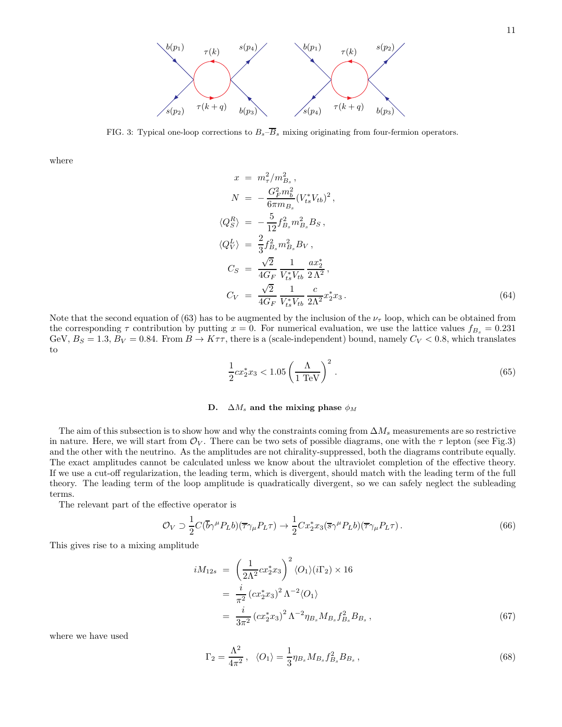

FIG. 3: Typical one-loop corrections to  $B_s-\overline{B}_s$  mixing originating from four-fermion operators.

where

$$
x = m_{\tau}^{2}/m_{Bs}^{2},
$$
  
\n
$$
N = -\frac{G_{F}^{2}m_{b}^{2}}{6\pi m_{Bs}}(V_{ts}^{*}V_{tb})^{2},
$$
  
\n
$$
\langle Q_{S}^{R} \rangle = -\frac{5}{12}f_{Bs}^{2}m_{Bs}^{2}B_{S},
$$
  
\n
$$
\langle Q_{V}^{L} \rangle = \frac{2}{3}f_{Bs}^{2}m_{Bs}^{2}B_{V},
$$
  
\n
$$
C_{S} = \frac{\sqrt{2}}{4G_{F}}\frac{1}{V_{ts}^{*}V_{tb}}\frac{ax_{2}^{*}}{2\Lambda^{2}},
$$
  
\n
$$
C_{V} = \frac{\sqrt{2}}{4G_{F}}\frac{1}{V_{ts}^{*}V_{tb}}\frac{c}{2\Lambda^{2}}x_{2}^{*}x_{3}.
$$
  
\n(64)

Note that the second equation of (63) has to be augmented by the inclusion of the  $\nu_{\tau}$  loop, which can be obtained from the corresponding  $\tau$  contribution by putting  $x = 0$ . For numerical evaluation, we use the lattice values  $f_{B_s} = 0.231$ GeV,  $B_S = 1.3$ ,  $B_V = 0.84$ . From  $B \to K\tau\tau$ , there is a (scale-independent) bound, namely  $C_V < 0.8$ , which translates to

 $\langle$ 

$$
\frac{1}{2}cx_2^*x_3 < 1.05 \left(\frac{\Lambda}{1 \text{ TeV}}\right)^2 \,. \tag{65}
$$

# D.  $\Delta M_s$  and the mixing phase  $\phi_M$

The aim of this subsection is to show how and why the constraints coming from  $\Delta M_s$  measurements are so restrictive in nature. Here, we will start from  $\mathcal{O}_V$ . There can be two sets of possible diagrams, one with the  $\tau$  lepton (see Fig.3) and the other with the neutrino. As the amplitudes are not chirality-suppressed, both the diagrams contribute equally. The exact amplitudes cannot be calculated unless we know about the ultraviolet completion of the effective theory. If we use a cut-off regularization, the leading term, which is divergent, should match with the leading term of the full theory. The leading term of the loop amplitude is quadratically divergent, so we can safely neglect the subleading terms.

The relevant part of the effective operator is

$$
\mathcal{O}_V \supset \frac{1}{2} C(\overline{b}\gamma^\mu P_L b)(\overline{\tau}\gamma_\mu P_L \tau) \to \frac{1}{2} C x_2^* x_3 (\overline{s}\gamma^\mu P_L b)(\overline{\tau}\gamma_\mu P_L \tau).
$$
\n(66)

This gives rise to a mixing amplitude

$$
iM_{12s} = \left(\frac{1}{2\Lambda^2}cx_2^*x_3\right)^2 \langle O_1 \rangle (i\Gamma_2) \times 16
$$
  
= 
$$
\frac{i}{\pi^2} (cx_2^*x_3)^2 \Lambda^{-2} \langle O_1 \rangle
$$
  
= 
$$
\frac{i}{3\pi^2} (cx_2^*x_3)^2 \Lambda^{-2} \eta_{B_s} M_{B_s} f_{B_s}^2 B_{B_s},
$$
 (67)

where we have used

$$
\Gamma_2 = \frac{\Lambda^2}{4\pi^2}, \quad \langle O_1 \rangle = \frac{1}{3} \eta_{B_s} M_{B_s} f_{B_s}^2 B_{B_s}, \tag{68}
$$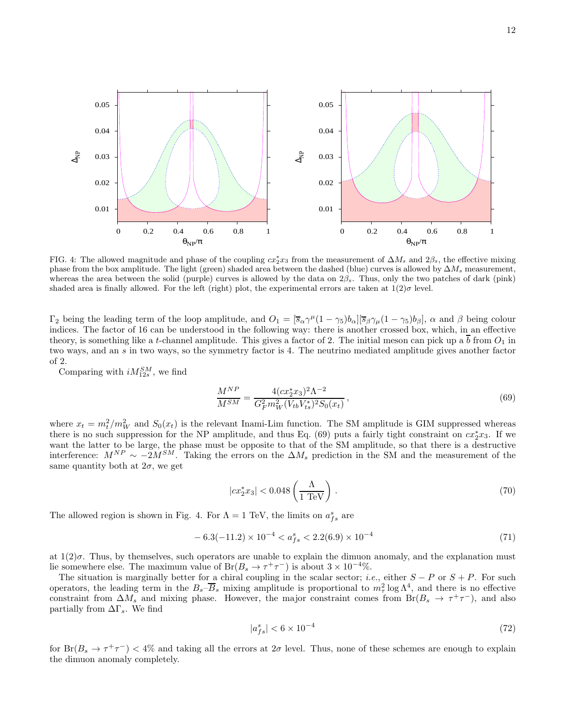

FIG. 4: The allowed magnitude and phase of the coupling  $cx_2^*x_3$  from the measurement of  $\Delta M_s$  and  $2\beta_s$ , the effective mixing phase from the box amplitude. The light (green) shaded area between the dashed (blue) curves is allowed by  $\Delta M_s$  measurement, whereas the area between the solid (purple) curves is allowed by the data on  $2\beta_s$ . Thus, only the two patches of dark (pink) shaded area is finally allowed. For the left (right) plot, the experimental errors are taken at  $1(2)\sigma$  level.

 $\Gamma_2$  being the leading term of the loop amplitude, and  $O_1 = [\overline{s}_{\alpha} \gamma^{\mu} (1 - \gamma_5) b_{\alpha}] [\overline{s}_{\beta} \gamma_{\mu} (1 - \gamma_5) b_{\beta}]$ ,  $\alpha$  and  $\beta$  being colour indices. The factor of 16 can be understood in the following way: there is another crossed box, which, in an effective theory, is something like a t-channel amplitude. This gives a factor of 2. The initial meson can pick up a b from  $O_1$  in two ways, and an s in two ways, so the symmetry factor is 4. The neutrino mediated amplitude gives another factor of 2.

Comparing with  $iM_{12s}^{SM}$ , we find

$$
\frac{M^{NP}}{M^{SM}} = \frac{4(cx_2^*x_3)^2\Lambda^{-2}}{G_F^2m_W^2(V_{tb}V_{ts}^*)^2S_0(x_t)},
$$
\n(69)

where  $x_t = m_t^2/m_W^2$  and  $S_0(x_t)$  is the relevant Inami-Lim function. The SM amplitude is GIM suppressed whereas there is no such suppression for the NP amplitude, and thus Eq. (69) puts a fairly tight constraint on  $cx_2^*x_3$ . If we want the latter to be large, the phase must be opposite to that of the SM amplitude, so that there is a destructive interference:  $M^{NP} \sim -2M^{SM}$ . Taking the errors on the  $\Delta M_s$  prediction in the SM and the measurement of the same quantity both at  $2\sigma$ , we get

$$
|cx_2^*x_3| < 0.048 \left(\frac{\Lambda}{1 \text{ TeV}}\right) \,. \tag{70}
$$

The allowed region is shown in Fig. 4. For  $\Lambda = 1$  TeV, the limits on  $a_{fs}^s$  are

$$
-6.3(-11.2) \times 10^{-4} < a_{fs}^s < 2.2(6.9) \times 10^{-4} \tag{71}
$$

at  $1(2)\sigma$ . Thus, by themselves, such operators are unable to explain the dimuon anomaly, and the explanation must lie somewhere else. The maximum value of  $Br(B_s \to \tau^+\tau^-)$  is about  $3 \times 10^{-4}\%$ .

The situation is marginally better for a chiral coupling in the scalar sector; *i.e.*, either  $S - P$  or  $S + P$ . For such operators, the leading term in the  $B_s-\overline{B}_s$  mixing amplitude is proportional to  $m_\tau^2 \log \Lambda^4$ , and there is no effective constraint from  $\Delta M_s$  and mixing phase. However, the major constraint comes from Br( $B_s \to \tau^+\tau^-$ ), and also partially from  $\Delta\Gamma_s$ . We find

$$
|a_{fs}^s| < 6 \times 10^{-4} \tag{72}
$$

for  $Br(B_s \to \tau^+\tau^-)$  < 4% and taking all the errors at  $2\sigma$  level. Thus, none of these schemes are enough to explain the dimuon anomaly completely.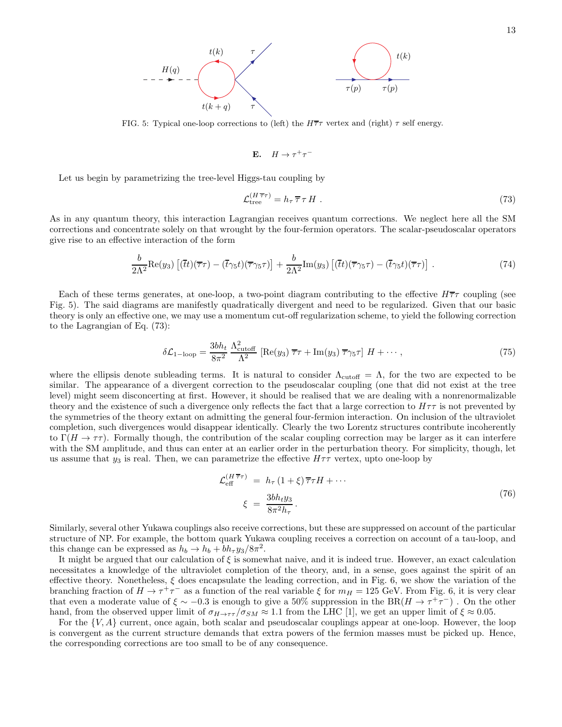

FIG. 5: Typical one-loop corrections to (left) the  $H\overline{\tau}\tau$  vertex and (right)  $\tau$  self energy.

$$
E. \quad H \to \tau^+ \tau^-
$$

Let us begin by parametrizing the tree-level Higgs-tau coupling by

$$
\mathcal{L}_{\text{tree}}^{(H\,\overline{\tau}\tau)} = h_{\tau}\,\overline{\tau}\,\tau\,H\,. \tag{73}
$$

As in any quantum theory, this interaction Lagrangian receives quantum corrections. We neglect here all the SM corrections and concentrate solely on that wrought by the four-fermion operators. The scalar-pseudoscalar operators give rise to an effective interaction of the form

$$
\frac{b}{2\Lambda^2} \text{Re}(y_3) \left[ (\overline{t}t)(\overline{\tau}\tau) - (\overline{t}\gamma_5 t)(\overline{\tau}\gamma_5 \tau) \right] + \frac{b}{2\Lambda^2} \text{Im}(y_3) \left[ (\overline{t}t)(\overline{\tau}\gamma_5 \tau) - (\overline{t}\gamma_5 t)(\overline{\tau}\tau) \right] \,. \tag{74}
$$

Each of these terms generates, at one-loop, a two-point diagram contributing to the effective  $H\overline{\tau}\tau$  coupling (see Fig. 5). The said diagrams are manifestly quadratically divergent and need to be regularized. Given that our basic theory is only an effective one, we may use a momentum cut-off regularization scheme, to yield the following correction to the Lagrangian of Eq. (73):

$$
\delta \mathcal{L}_{1-\text{loop}} = \frac{3bh_t}{8\pi^2} \frac{\Lambda_{\text{cutoff}}^2}{\Lambda^2} \left[ \text{Re}(y_3) \,\overline{\tau}\tau + \text{Im}(y_3) \,\overline{\tau}\gamma_5\tau \right] H + \cdots, \tag{75}
$$

where the ellipsis denote subleading terms. It is natural to consider  $\Lambda_{\text{cutoff}} = \Lambda$ , for the two are expected to be similar. The appearance of a divergent correction to the pseudoscalar coupling (one that did not exist at the tree level) might seem disconcerting at first. However, it should be realised that we are dealing with a nonrenormalizable theory and the existence of such a divergence only reflects the fact that a large correction to  $H\tau\tau$  is not prevented by the symmetries of the theory extant on admitting the general four-fermion interaction. On inclusion of the ultraviolet completion, such divergences would disappear identically. Clearly the two Lorentz structures contribute incoherently to  $\Gamma(H \to \tau\tau)$ . Formally though, the contribution of the scalar coupling correction may be larger as it can interfere with the SM amplitude, and thus can enter at an earlier order in the perturbation theory. For simplicity, though, let us assume that  $y_3$  is real. Then, we can parametrize the effective  $H\tau\tau$  vertex, upto one-loop by

$$
\mathcal{L}_{\text{eff}}^{(H\,\overline{\tau}\tau)} = h_{\tau} (1+\xi) \overline{\tau} \tau H + \cdots
$$
\n
$$
\xi = \frac{3bh_t y_3}{8\pi^2 h_{\tau}}.
$$
\n(76)

Similarly, several other Yukawa couplings also receive corrections, but these are suppressed on account of the particular structure of NP. For example, the bottom quark Yukawa coupling receives a correction on account of a tau-loop, and this change can be expressed as  $h_b \to h_b + bh_\tau y_3/8\pi^2$ .

It might be argued that our calculation of ξ is somewhat naive, and it is indeed true. However, an exact calculation necessitates a knowledge of the ultraviolet completion of the theory, and, in a sense, goes against the spirit of an effective theory. Nonetheless,  $\xi$  does encapsulate the leading correction, and in Fig. 6, we show the variation of the branching fraction of  $H \to \tau^+\tau^-$  as a function of the real variable  $\xi$  for  $m_H = 125$  GeV. From Fig. 6, it is very clear that even a moderate value of  $\xi \sim -0.3$  is enough to give a 50% suppression in the BR( $H \to \tau^+\tau^-$ ). On the other hand, from the observed upper limit of  $\sigma_{H\to\tau\tau}/\sigma_{SM} \approx 1.1$  from the LHC [1], we get an upper limit of  $\xi \approx 0.05$ .

For the  $\{V, A\}$  current, once again, both scalar and pseudoscalar couplings appear at one-loop. However, the loop is convergent as the current structure demands that extra powers of the fermion masses must be picked up. Hence, the corresponding corrections are too small to be of any consequence.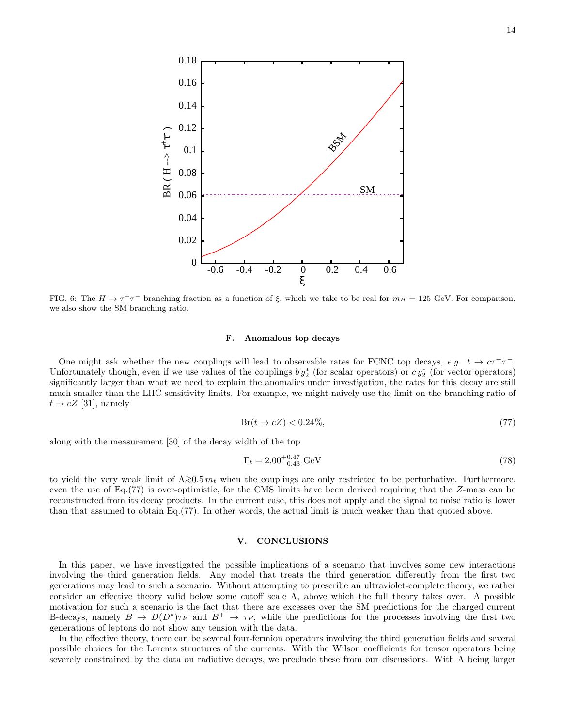

FIG. 6: The  $H \to \tau^+\tau^-$  branching fraction as a function of  $\xi$ , which we take to be real for  $m_H = 125$  GeV. For comparison, we also show the SM branching ratio.

#### F. Anomalous top decays

One might ask whether the new couplings will lead to observable rates for FCNC top decays,  $e.g. t \rightarrow c\tau^+\tau^-$ . Unfortunately though, even if we use values of the couplings  $by_2^*$  (for scalar operators) or  $cy_2^*$  (for vector operators) significantly larger than what we need to explain the anomalies under investigation, the rates for this decay are still much smaller than the LHC sensitivity limits. For example, we might naively use the limit on the branching ratio of  $t \rightarrow cZ$  [31], namely

$$
\text{Br}(t \to cZ) < 0.24\%,\tag{77}
$$

along with the measurement [30] of the decay width of the top

$$
\Gamma_t = 2.00^{+0.47}_{-0.43} \text{ GeV} \tag{78}
$$

to yield the very weak limit of  $\Lambda \gtrsim 0.5 m_t$  when the couplings are only restricted to be perturbative. Furthermore, even the use of Eq.(77) is over-optimistic, for the CMS limits have been derived requiring that the Z-mass can be reconstructed from its decay products. In the current case, this does not apply and the signal to noise ratio is lower than that assumed to obtain Eq.(77). In other words, the actual limit is much weaker than that quoted above.

# V. CONCLUSIONS

In this paper, we have investigated the possible implications of a scenario that involves some new interactions involving the third generation fields. Any model that treats the third generation differently from the first two generations may lead to such a scenario. Without attempting to prescribe an ultraviolet-complete theory, we rather consider an effective theory valid below some cutoff scale  $\Lambda$ , above which the full theory takes over. A possible motivation for such a scenario is the fact that there are excesses over the SM predictions for the charged current B-decays, namely  $B \to D(D^*)\tau\nu$  and  $B^+ \to \tau\nu$ , while the predictions for the processes involving the first two generations of leptons do not show any tension with the data.

In the effective theory, there can be several four-fermion operators involving the third generation fields and several possible choices for the Lorentz structures of the currents. With the Wilson coefficients for tensor operators being severely constrained by the data on radiative decays, we preclude these from our discussions. With Λ being larger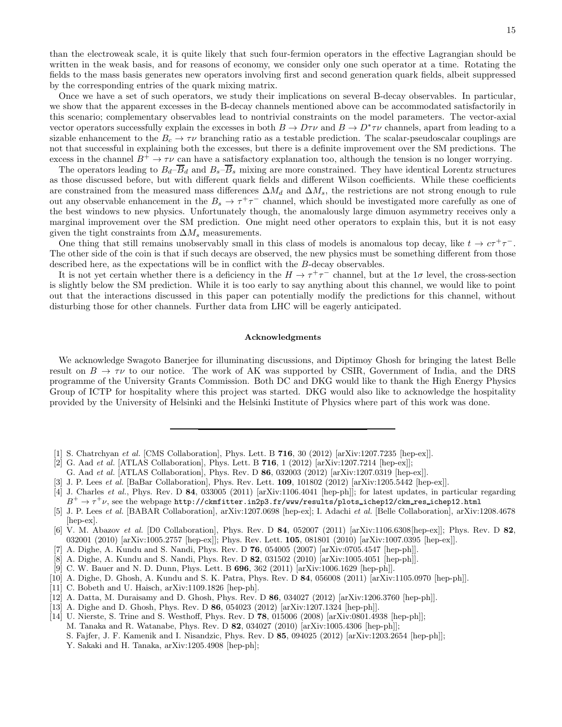than the electroweak scale, it is quite likely that such four-fermion operators in the effective Lagrangian should be written in the weak basis, and for reasons of economy, we consider only one such operator at a time. Rotating the fields to the mass basis generates new operators involving first and second generation quark fields, albeit suppressed by the corresponding entries of the quark mixing matrix.

Once we have a set of such operators, we study their implications on several B-decay observables. In particular, we show that the apparent excesses in the B-decay channels mentioned above can be accommodated satisfactorily in this scenario; complementary observables lead to nontrivial constraints on the model parameters. The vector-axial vector operators successfully explain the excesses in both  $B \to D\tau\nu$  and  $B \to D^*\tau\nu$  channels, apart from leading to a sizable enhancement to the  $B_c \to \tau \nu$  branching ratio as a testable prediction. The scalar-pseudoscalar couplings are not that successful in explaining both the excesses, but there is a definite improvement over the SM predictions. The excess in the channel  $B^+ \to \tau \nu$  can have a satisfactory explanation too, although the tension is no longer worrying.

The operators leading to  $B_d-\overline{B}_d$  and  $B_s-\overline{B}_s$  mixing are more constrained. They have identical Lorentz structures as those discussed before, but with different quark fields and different Wilson coefficients. While these coefficients are constrained from the measured mass differences  $\Delta M_d$  and  $\Delta M_s$ , the restrictions are not strong enough to rule out any observable enhancement in the  $B_s \to \tau^+\tau^-$  channel, which should be investigated more carefully as one of the best windows to new physics. Unfortunately though, the anomalously large dimuon asymmetry receives only a marginal improvement over the SM prediction. One might need other operators to explain this, but it is not easy given the tight constraints from  $\Delta M_s$  measurements.

One thing that still remains unobservably small in this class of models is anomalous top decay, like  $t \to c\tau^+\tau^-$ . The other side of the coin is that if such decays are observed, the new physics must be something different from those described here, as the expectations will be in conflict with the B-decay observables.

It is not yet certain whether there is a deficiency in the  $H \to \tau^+\tau^-$  channel, but at the  $1\sigma$  level, the cross-section is slightly below the SM prediction. While it is too early to say anything about this channel, we would like to point out that the interactions discussed in this paper can potentially modify the predictions for this channel, without disturbing those for other channels. Further data from LHC will be eagerly anticipated.

# Acknowledgments

We acknowledge Swagoto Banerjee for illuminating discussions, and Diptimoy Ghosh for bringing the latest Belle result on  $B \to \tau \nu$  to our notice. The work of AK was supported by CSIR, Government of India, and the DRS programme of the University Grants Commission. Both DC and DKG would like to thank the High Energy Physics Group of ICTP for hospitality where this project was started. DKG would also like to acknowledge the hospitality provided by the University of Helsinki and the Helsinki Institute of Physics where part of this work was done.

- [1] S. Chatrchyan et al. [CMS Collaboration], Phys. Lett. B 716, 30 (2012) [arXiv:1207.7235 [hep-ex]].
- [2] G. Aad et al. [ATLAS Collaboration], Phys. Lett. B 716, 1 (2012) [arXiv:1207.7214 [hep-ex]];
- G. Aad et al. [ATLAS Collaboration], Phys. Rev. D 86, 032003 (2012) [arXiv:1207.0319 [hep-ex]].
- [3] J. P. Lees *et al.* [BaBar Collaboration], Phys. Rev. Lett. **109**, 101802 (2012) [arXiv:1205.5442 [hep-ex]].
- [4] J. Charles *et al.*, Phys. Rev. D  $84$ , 033005 (2011) [arXiv:1106.4041 [hep-ph]]; for latest updates, in particular regarding  $B^+\to\tau^+\nu,$  see the webpage <code>http://ckmfitter.in2p3.fr/www/results/plots\_ichep12/ckm\_res\_ichep12.html</code>
- [5] J. P. Lees et al. [BABAR Collaboration], arXiv:1207.0698 [hep-ex]; I. Adachi et al. [Belle Collaboration], arXiv:1208.4678 [hep-ex].
- [6] V. M. Abazov et al. [D0 Collaboration], Phys. Rev. D 84, 052007 (2011) [arXiv:1106.6308[hep-ex]]; Phys. Rev. D 82, 032001 (2010) [arXiv:1005.2757 [hep-ex]]; Phys. Rev. Lett. 105, 081801 (2010) [arXiv:1007.0395 [hep-ex]].
- [7] A. Dighe, A. Kundu and S. Nandi, Phys. Rev. D 76, 054005 (2007) [arXiv:0705.4547 [hep-ph]].
- [8] A. Dighe, A. Kundu and S. Nandi, Phys. Rev. D 82, 031502 (2010) [arXiv:1005.4051 [hep-ph]].
- [9] C. W. Bauer and N. D. Dunn, Phys. Lett. B 696, 362 (2011) [arXiv:1006.1629 [hep-ph]].
- [10] A. Dighe, D. Ghosh, A. Kundu and S. K. Patra, Phys. Rev. D 84, 056008 (2011) [arXiv:1105.0970 [hep-ph]].
- [11] C. Bobeth and U. Haisch, arXiv:1109.1826 [hep-ph].
- [12] A. Datta, M. Duraisamy and D. Ghosh, Phys. Rev. D 86, 034027 (2012) [arXiv:1206.3760 [hep-ph]].
- [13] A. Dighe and D. Ghosh, Phys. Rev. D 86, 054023 (2012) [arXiv:1207.1324 [hep-ph]].
- [14] U. Nierste, S. Trine and S. Westhoff, Phys. Rev. D 78, 015006 (2008) [arXiv:0801.4938 [hep-ph]]; M. Tanaka and R. Watanabe, Phys. Rev. D 82, 034027 (2010) [arXiv:1005.4306 [hep-ph]]; S. Fajfer, J. F. Kamenik and I. Nisandzic, Phys. Rev. D 85, 094025 (2012) [arXiv:1203.2654 [hep-ph]]; Y. Sakaki and H. Tanaka, arXiv:1205.4908 [hep-ph];